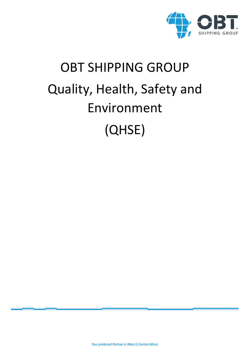

# OBT SHIPPING GROUP Quality, Health, Safety and Environment (QHSE)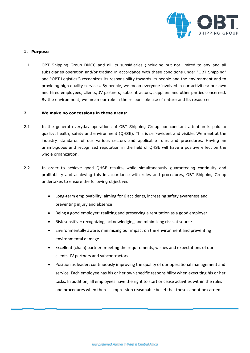

#### **1. Purpose**

1.1 OBT Shipping Group DMCC and all its subsidiaries (including but not limited to any and all subsidiaries operation and/or trading in accordance with these conditions under "OBT Shipping" and "OBT Logistics") recognizes its responsibility towards its people and the environment and to providing high quality services. By people, we mean everyone involved in our activities: our own and hired employees, clients, JV partners, subcontractors, suppliers and other parties concerned. By the environment, we mean our role in the responsible use of nature and its resources.

#### **2. We make no concessions in these areas:**

- 2.1 In the general everyday operations of OBT Shipping Group our constant attention is paid to quality, health, safety and environment (QHSE). This is self-evident and visible. We meet at the industry standards of our various sectors and applicable rules and procedures. Having an unambiguous and recognized reputation in the field of QHSE will have a positive effect on the whole organization.
- 2.2 In order to achieve good QHSE results, while simultaneously guaranteeing continuity and profitability and achieving this in accordance with rules and procedures, OBT Shipping Group undertakes to ensure the following objectives:
	- Long-term employability: aiming for 0 accidents, increasing safety awareness and preventing injury and absence
	- Being a good employer: realizing and preserving a reputation as a good employer
	- Risk-sensitive: recognizing, acknowledging and minimizing risks at source
	- Environmentally aware: minimizing our impact on the environment and preventing environmental damage
	- Excellent (chain) partner: meeting the requirements, wishes and expectations of our clients, JV partners and subcontractors
	- Position as leader: continuously improving the quality of our operational management and service. Each employee has his or her own specific responsibility when executing his or her tasks. In addition, all employees have the right to start or cease activities within the rules and procedures when there is impression reasonable belief that these cannot be carried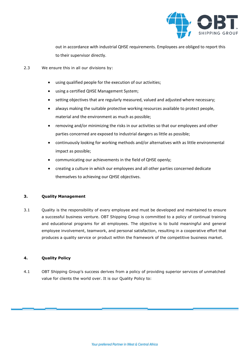

out in accordance with industrial QHSE requirements. Employees are obliged to report this to their supervisor directly.

- 2.3 We ensure this in all our divisions by:
	- using qualified people for the execution of our activities;
	- using a certified QHSE Management System;
	- setting objectives that are regularly measured, valued and adjusted where necessary;
	- always making the suitable protective working resources available to protect people, material and the environment as much as possible;
	- removing and/or minimizing the risks in our activities so that our employees and other parties concerned are exposed to industrial dangers as little as possible;
	- continuously looking for working methods and/or alternatives with as little environmental impact as possible;
	- communicating our achievements in the field of QHSE openly;
	- creating a culture in which our employees and all other parties concerned dedicate themselves to achieving our QHSE objectives.

## **3. Quality Management**

3.1 Quality is the responsibility of every employee and must be developed and maintained to ensure a successful business venture. OBT Shipping Group is committed to a policy of continual training and educational programs for all employees. The objective is to build meaningful and general employee involvement, teamwork, and personal satisfaction, resulting in a cooperative effort that produces a quality service or product within the framework of the competitive business market.

## **4. Quality Policy**

4.1 OBT Shipping Group's success derives from a policy of providing superior services of unmatched value for clients the world over. It is our Quality Policy to: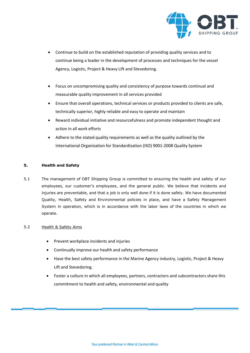

- Continue to build on the established reputation of providing quality services and to continue being a leader in the development of processes and techniques for the vessel Agency, Logistic, Project & Heavy Lift and Stevedoring.
- Focus on uncompromising quality and consistency of purpose towards continual and measurable quality improvement in all services provided
- Ensure that overall operations, technical services or products provided to clients are safe, technically superior, highly reliable and easy to operate and maintain
- Reward individual initiative and resourcefulness and promote independent thought and action in all work efforts
- Adhere to the stated quality requirements as well as the quality outlined by the International Organization for Standardization (ISO) 9001-2008 Quality System

# **5. Health and Safety**

5.1 The management of OBT Shipping Group is committed to ensuring the health and safety of our employees, our customer's employees, and the general public. We believe that incidents and injuries are preventable, and that a job is only well done if it is done safely. We have documented Quality, Health, Safety and Environmental policies in place, and have a Safety Management System in operation, which is in accordance with the labor laws of the countries in which we operate.

## 5.2 Health & Safety Aims

- Prevent workplace incidents and injuries
- Continually improve our health and safety performance
- Have the best safety performance in the Marine Agency industry, Logistic, Project & Heavy Lift and Stevedoring.
- Foster a culture in which all employees, partners, contractors and subcontractors share this commitment to health and safety, environmental and quality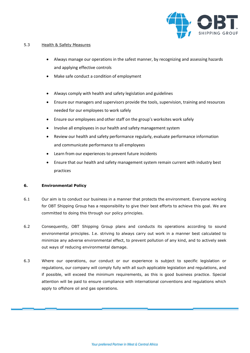

#### 5.3 Health & Safety Measures

- Always manage our operations in the safest manner, by recognizing and assessing hazards and applying effective controls
- Make safe conduct a condition of employment
- Always comply with health and safety legislation and guidelines
- Ensure our managers and supervisors provide the tools, supervision, training and resources needed for our employees to work safely
- Ensure our employees and other staff on the group's worksites work safely
- Involve all employees in our health and safety management system
- Review our health and safety performance regularly, evaluate performance information and communicate performance to all employees
- Learn from our experiences to prevent future incidents
- Ensure that our health and safety management system remain current with industry best practices

## **6. Environmental Policy**

- 6.1 Our aim is to conduct our business in a manner that protects the environment. Everyone working for OBT Shipping Group has a responsibility to give their best efforts to achieve this goal. We are committed to doing this through our policy principles.
- 6.2 Consequently, OBT Shipping Group plans and conducts its operations according to sound environmental principles. I.e. striving to always carry out work in a manner best calculated to minimize any adverse environmental effect, to prevent pollution of any kind, and to actively seek out ways of reducing environmental damage.
- 6.3 Where our operations, our conduct or our experience is subject to specific legislation or regulations, our company will comply fully with all such applicable legislation and regulations, and if possible, will exceed the minimum requirements, as this is good business practice. Special attention will be paid to ensure compliance with international conventions and regulations which apply to offshore oil and gas operations.